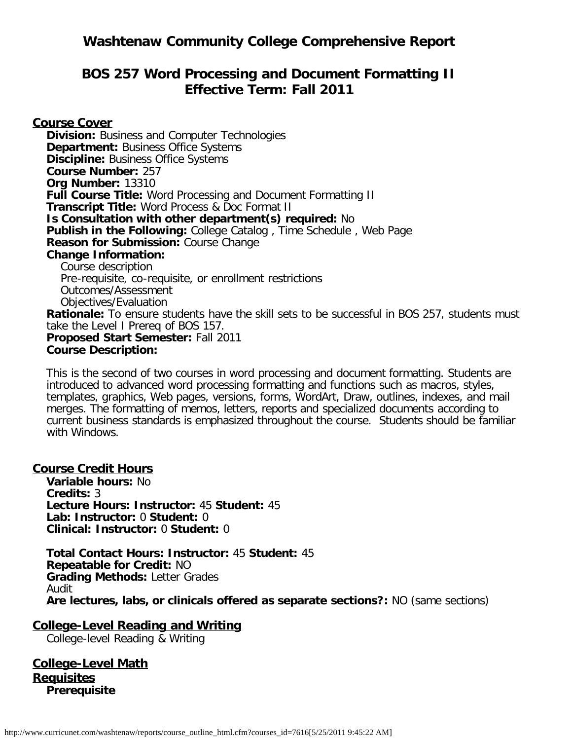## **BOS 257 Word Processing and Document Formatting II Effective Term: Fall 2011**

**Course Cover Division:** Business and Computer Technologies **Department: Business Office Systems Discipline:** Business Office Systems **Course Number:** 257 **Org Number:** 13310 **Full Course Title:** Word Processing and Document Formatting II **Transcript Title:** Word Process & Doc Format II **Is Consultation with other department(s) required:** No **Publish in the Following:** College Catalog , Time Schedule , Web Page **Reason for Submission:** Course Change **Change Information:** Course description Pre-requisite, co-requisite, or enrollment restrictions Outcomes/Assessment Objectives/Evaluation **Rationale:** To ensure students have the skill sets to be successful in BOS 257, students must take the Level I Prereq of BOS 157. **Proposed Start Semester:** Fall 2011 **Course Description:**

This is the second of two courses in word processing and document formatting. Students are introduced to advanced word processing formatting and functions such as macros, styles, templates, graphics, Web pages, versions, forms, WordArt, Draw, outlines, indexes, and mail merges. The formatting of memos, letters, reports and specialized documents according to current business standards is emphasized throughout the course. Students should be familiar with Windows.

#### **Course Credit Hours**

**Variable hours:** No **Credits:** 3 **Lecture Hours: Instructor:** 45 **Student:** 45 **Lab: Instructor:** 0 **Student:** 0 **Clinical: Instructor:** 0 **Student:** 0

**Total Contact Hours: Instructor:** 45 **Student:** 45 **Repeatable for Credit:** NO **Grading Methods:** Letter Grades Audit **Are lectures, labs, or clinicals offered as separate sections?:** NO (same sections)

# **College-Level Reading and Writing**

College-level Reading & Writing

**College-Level Math Requisites Prerequisite**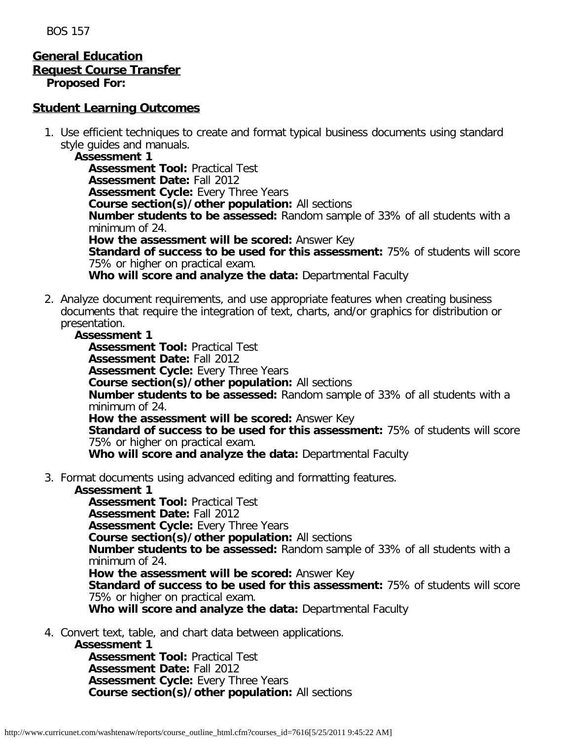BOS 157

#### **General Education Request Course Transfer Proposed For:**

#### **Student Learning Outcomes**

1. Use efficient techniques to create and format typical business documents using standard style guides and manuals.

**Assessment 1 Assessment Tool:** Practical Test **Assessment Date:** Fall 2012 **Assessment Cycle:** Every Three Years **Course section(s)/other population:** All sections **Number students to be assessed:** Random sample of 33% of all students with a minimum of 24. **How the assessment will be scored:** Answer Key **Standard of success to be used for this assessment:** 75% of students will score 75% or higher on practical exam. **Who will score and analyze the data:** Departmental Faculty

2. Analyze document requirements, and use appropriate features when creating business documents that require the integration of text, charts, and/or graphics for distribution or presentation.

#### **Assessment 1**

**Assessment Tool:** Practical Test **Assessment Date:** Fall 2012 **Assessment Cycle: Every Three Years Course section(s)/other population:** All sections **Number students to be assessed:** Random sample of 33% of all students with a minimum of 24. **How the assessment will be scored:** Answer Key **Standard of success to be used for this assessment:** 75% of students will score 75% or higher on practical exam. **Who will score and analyze the data:** Departmental Faculty

3. Format documents using advanced editing and formatting features.

#### **Assessment 1**

**Assessment Tool:** Practical Test

**Assessment Date:** Fall 2012

**Assessment Cycle: Every Three Years** 

**Course section(s)/other population:** All sections

**Number students to be assessed:** Random sample of 33% of all students with a minimum of 24.

**How the assessment will be scored:** Answer Key

**Standard of success to be used for this assessment:** 75% of students will score 75% or higher on practical exam.

**Who will score and analyze the data:** Departmental Faculty

4. Convert text, table, and chart data between applications.

**Assessment 1**

**Assessment Tool:** Practical Test **Assessment Date:** Fall 2012 **Assessment Cycle:** Every Three Years **Course section(s)/other population:** All sections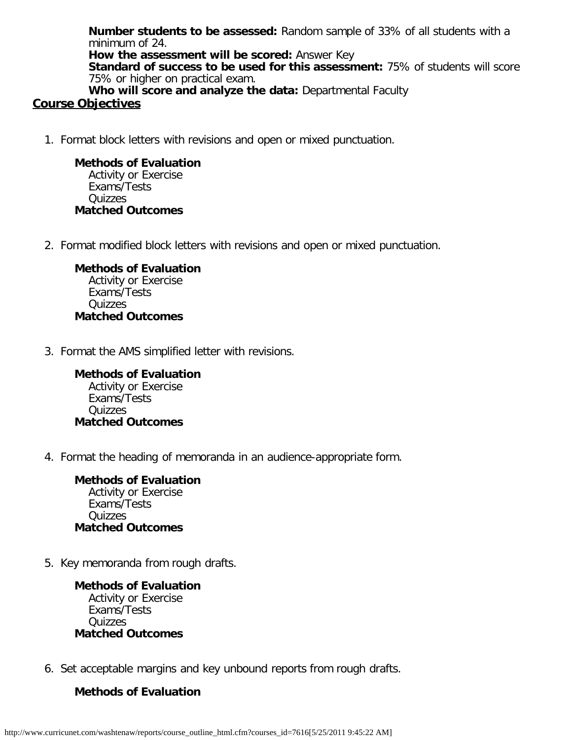**Number students to be assessed:** Random sample of 33% of all students with a minimum of 24. **How the assessment will be scored:** Answer Key **Standard of success to be used for this assessment:** 75% of students will score 75% or higher on practical exam. **Who will score and analyze the data:** Departmental Faculty

#### **Course Objectives**

1. Format block letters with revisions and open or mixed punctuation.

#### **Methods of Evaluation**

Activity or Exercise Exams/Tests Quizzes **Matched Outcomes**

2. Format modified block letters with revisions and open or mixed punctuation.

**Methods of Evaluation** Activity or Exercise Exams/Tests Quizzes **Matched Outcomes**

3. Format the AMS simplified letter with revisions.

**Methods of Evaluation** Activity or Exercise Exams/Tests **Quizzes Matched Outcomes**

4. Format the heading of memoranda in an audience-appropriate form.

**Methods of Evaluation** Activity or Exercise Exams/Tests Quizzes **Matched Outcomes**

5. Key memoranda from rough drafts.

**Methods of Evaluation** Activity or Exercise Exams/Tests Quizzes **Matched Outcomes**

6. Set acceptable margins and key unbound reports from rough drafts.

### **Methods of Evaluation**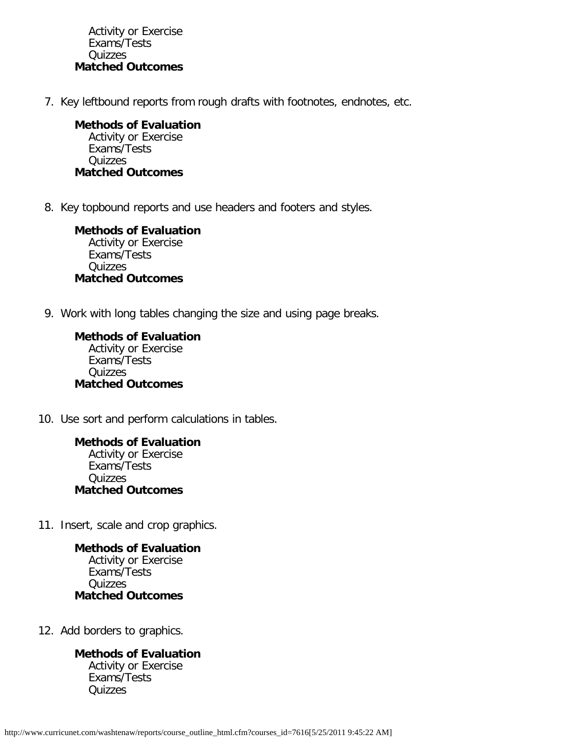Activity or Exercise Exams/Tests Quizzes **Matched Outcomes**

7. Key leftbound reports from rough drafts with footnotes, endnotes, etc.

**Methods of Evaluation** Activity or Exercise Exams/Tests Quizzes **Matched Outcomes**

8. Key topbound reports and use headers and footers and styles.

**Methods of Evaluation** Activity or Exercise Exams/Tests Quizzes **Matched Outcomes**

9. Work with long tables changing the size and using page breaks.

**Methods of Evaluation** Activity or Exercise Exams/Tests Quizzes **Matched Outcomes**

10. Use sort and perform calculations in tables.

**Methods of Evaluation** Activity or Exercise Exams/Tests **Quizzes Matched Outcomes**

11. Insert, scale and crop graphics.

**Methods of Evaluation** Activity or Exercise Exams/Tests **Quizzes Matched Outcomes**

12. Add borders to graphics.

## **Methods of Evaluation**

Activity or Exercise Exams/Tests **Quizzes**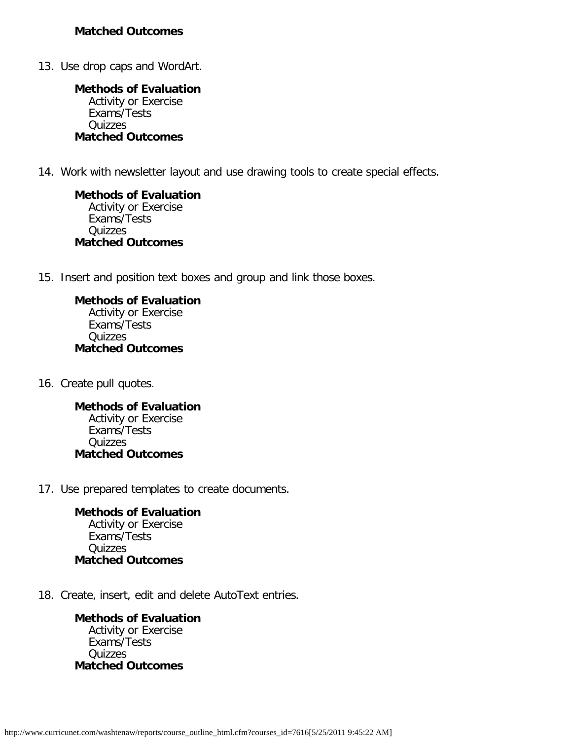13. Use drop caps and WordArt.

**Methods of Evaluation** Activity or Exercise Exams/Tests Quizzes **Matched Outcomes**

14. Work with newsletter layout and use drawing tools to create special effects.

**Methods of Evaluation** Activity or Exercise Exams/Tests **Quizzes Matched Outcomes**

15. Insert and position text boxes and group and link those boxes.

**Methods of Evaluation** Activity or Exercise Exams/Tests Quizzes **Matched Outcomes**

16. Create pull quotes.

**Methods of Evaluation** Activity or Exercise Exams/Tests Quizzes **Matched Outcomes**

17. Use prepared templates to create documents.

**Methods of Evaluation** Activity or Exercise Exams/Tests Quizzes **Matched Outcomes**

18. Create, insert, edit and delete AutoText entries.

**Methods of Evaluation** Activity or Exercise Exams/Tests Quizzes **Matched Outcomes**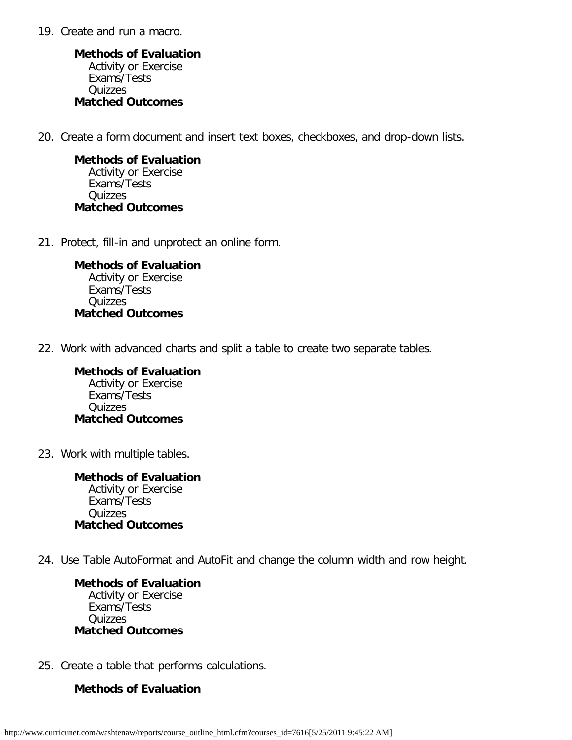19. Create and run a macro.

**Methods of Evaluation** Activity or Exercise Exams/Tests Quizzes **Matched Outcomes**

20. Create a form document and insert text boxes, checkboxes, and drop-down lists.

**Methods of Evaluation** Activity or Exercise Exams/Tests Quizzes **Matched Outcomes**

21. Protect, fill-in and unprotect an online form.

**Methods of Evaluation** Activity or Exercise Exams/Tests Quizzes **Matched Outcomes**

22. Work with advanced charts and split a table to create two separate tables.

**Methods of Evaluation** Activity or Exercise Exams/Tests Quizzes **Matched Outcomes**

23. Work with multiple tables.

**Methods of Evaluation** Activity or Exercise Exams/Tests Quizzes **Matched Outcomes**

24. Use Table AutoFormat and AutoFit and change the column width and row height.

**Methods of Evaluation** Activity or Exercise Exams/Tests Quizzes **Matched Outcomes**

25. Create a table that performs calculations.

#### **Methods of Evaluation**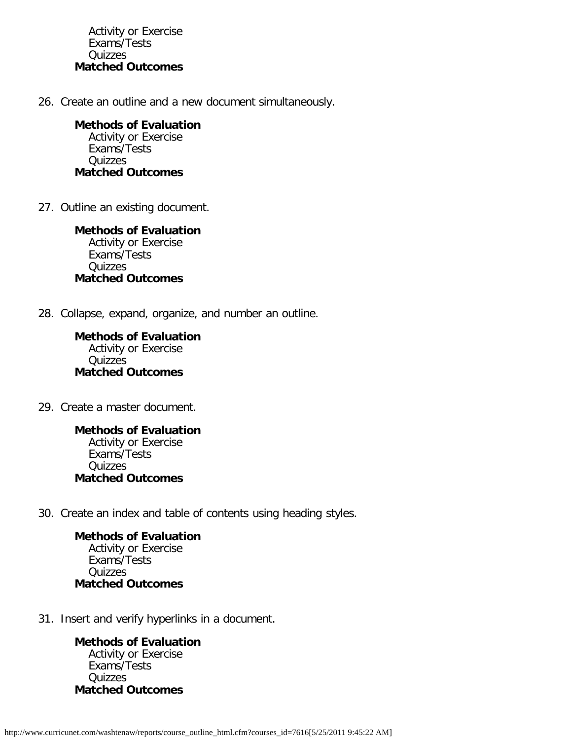Activity or Exercise Exams/Tests Quizzes **Matched Outcomes**

26. Create an outline and a new document simultaneously.

**Methods of Evaluation** Activity or Exercise Exams/Tests Quizzes **Matched Outcomes**

27. Outline an existing document.

**Methods of Evaluation** Activity or Exercise Exams/Tests Quizzes **Matched Outcomes**

28. Collapse, expand, organize, and number an outline.

**Methods of Evaluation** Activity or Exercise Quizzes **Matched Outcomes**

29. Create a master document.

**Methods of Evaluation** Activity or Exercise Exams/Tests Quizzes **Matched Outcomes**

30. Create an index and table of contents using heading styles.

**Methods of Evaluation** Activity or Exercise Exams/Tests Quizzes **Matched Outcomes**

31. Insert and verify hyperlinks in a document.

**Methods of Evaluation** Activity or Exercise Exams/Tests **Quizzes Matched Outcomes**